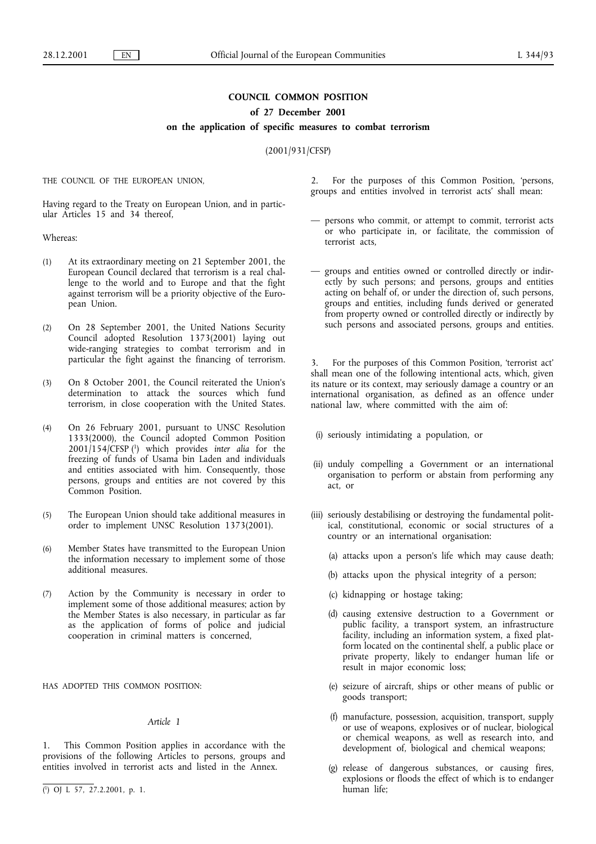# **COUNCIL COMMON POSITION**

**of 27 December 2001**

## **on the application of specific measures to combat terrorism**

(2001/931/CFSP)

THE COUNCIL OF THE EUROPEAN UNION.

Having regard to the Treaty on European Union, and in particular Articles 15 and 34 thereof,

Whereas:

- (1) At its extraordinary meeting on 21 September 2001, the European Council declared that terrorism is a real challenge to the world and to Europe and that the fight against terrorism will be a priority objective of the European Union.
- (2) On 28 September 2001, the United Nations Security Council adopted Resolution 1373(2001) laying out wide-ranging strategies to combat terrorism and in particular the fight against the financing of terrorism.
- (3) On 8 October 2001, the Council reiterated the Union's determination to attack the sources which fund terrorism, in close cooperation with the United States.
- (4) On 26 February 2001, pursuant to UNSC Resolution 1333(2000), the Council adopted Common Position 2001/154/CFSP (1) which provides *inter alia* for the freezing of funds of Usama bin Laden and individuals and entities associated with him. Consequently, those persons, groups and entities are not covered by this Common Position.
- (5) The European Union should take additional measures in order to implement UNSC Resolution 1373(2001).
- (6) Member States have transmitted to the European Union the information necessary to implement some of those additional measures.
- (7) Action by the Community is necessary in order to implement some of those additional measures; action by the Member States is also necessary, in particular as far as the application of forms of police and judicial cooperation in criminal matters is concerned,

HAS ADOPTED THIS COMMON POSITION:

## *Article 1*

This Common Position applies in accordance with the provisions of the following Articles to persons, groups and entities involved in terrorist acts and listed in the Annex.

 $\overline{(^1)}$  OJ L 57, 27.2.2001, p. 1.

2. For the purposes of this Common Position, 'persons, groups and entities involved in terrorist acts' shall mean:

- persons who commit, or attempt to commit, terrorist acts or who participate in, or facilitate, the commission of terrorist acts,
- groups and entities owned or controlled directly or indirectly by such persons; and persons, groups and entities acting on behalf of, or under the direction of, such persons, groups and entities, including funds derived or generated from property owned or controlled directly or indirectly by such persons and associated persons, groups and entities.

3. For the purposes of this Common Position, 'terrorist act' shall mean one of the following intentional acts, which, given its nature or its context, may seriously damage a country or an international organisation, as defined as an offence under national law, where committed with the aim of:

- (i) seriously intimidating a population, or
- (ii) unduly compelling a Government or an international organisation to perform or abstain from performing any act, or
- (iii) seriously destabilising or destroying the fundamental political, constitutional, economic or social structures of a country or an international organisation:
	- (a) attacks upon a person's life which may cause death;
	- (b) attacks upon the physical integrity of a person;
	- (c) kidnapping or hostage taking;
	- (d) causing extensive destruction to a Government or public facility, a transport system, an infrastructure facility, including an information system, a fixed platform located on the continental shelf, a public place or private property, likely to endanger human life or result in major economic loss;
	- (e) seizure of aircraft, ships or other means of public or goods transport;
	- (f) manufacture, possession, acquisition, transport, supply or use of weapons, explosives or of nuclear, biological or chemical weapons, as well as research into, and development of, biological and chemical weapons;
	- (g) release of dangerous substances, or causing fires, explosions or floods the effect of which is to endanger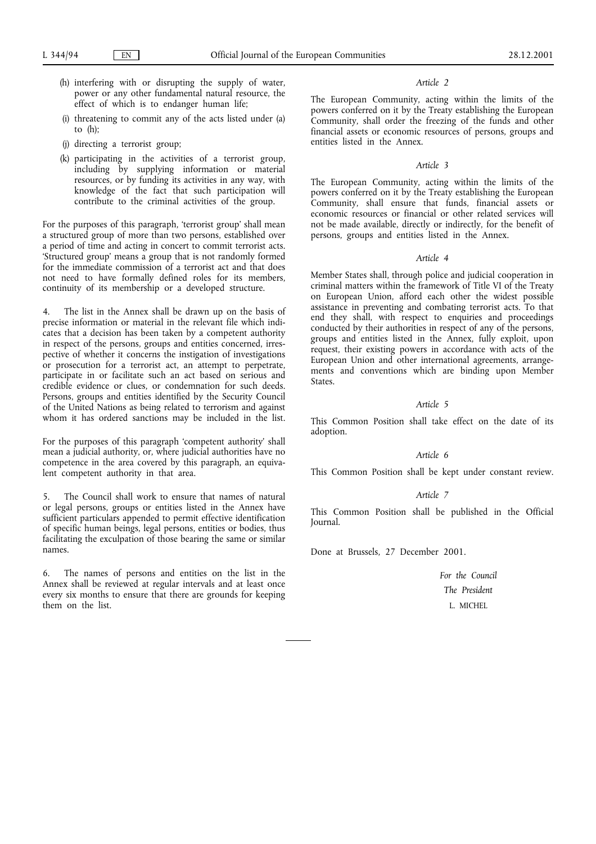- (h) interfering with or disrupting the supply of water, power or any other fundamental natural resource, the effect of which is to endanger human life;
- (i) threatening to commit any of the acts listed under (a) to (h);
- (j) directing a terrorist group;
- (k) participating in the activities of a terrorist group, including by supplying information or material resources, or by funding its activities in any way, with knowledge of the fact that such participation will contribute to the criminal activities of the group.

For the purposes of this paragraph, 'terrorist group' shall mean a structured group of more than two persons, established over a period of time and acting in concert to commit terrorist acts. 'Structured group' means a group that is not randomly formed for the immediate commission of a terrorist act and that does not need to have formally defined roles for its members, continuity of its membership or a developed structure.

4. The list in the Annex shall be drawn up on the basis of precise information or material in the relevant file which indicates that a decision has been taken by a competent authority in respect of the persons, groups and entities concerned, irrespective of whether it concerns the instigation of investigations or prosecution for a terrorist act, an attempt to perpetrate, participate in or facilitate such an act based on serious and credible evidence or clues, or condemnation for such deeds. Persons, groups and entities identified by the Security Council of the United Nations as being related to terrorism and against whom it has ordered sanctions may be included in the list.

For the purposes of this paragraph 'competent authority' shall mean a judicial authority, or, where judicial authorities have no competence in the area covered by this paragraph, an equivalent competent authority in that area.

5. The Council shall work to ensure that names of natural or legal persons, groups or entities listed in the Annex have sufficient particulars appended to permit effective identification of specific human beings, legal persons, entities or bodies, thus facilitating the exculpation of those bearing the same or similar names.

6. The names of persons and entities on the list in the Annex shall be reviewed at regular intervals and at least once every six months to ensure that there are grounds for keeping them on the list.

## *Article 2*

The European Community, acting within the limits of the powers conferred on it by the Treaty establishing the European Community, shall order the freezing of the funds and other financial assets or economic resources of persons, groups and entities listed in the Annex.

#### *Article 3*

The European Community, acting within the limits of the powers conferred on it by the Treaty establishing the European Community, shall ensure that funds, financial assets or economic resources or financial or other related services will not be made available, directly or indirectly, for the benefit of persons, groups and entities listed in the Annex.

### *Article 4*

Member States shall, through police and judicial cooperation in criminal matters within the framework of Title VI of the Treaty on European Union, afford each other the widest possible assistance in preventing and combating terrorist acts. To that end they shall, with respect to enquiries and proceedings conducted by their authorities in respect of any of the persons, groups and entities listed in the Annex, fully exploit, upon request, their existing powers in accordance with acts of the European Union and other international agreements, arrangements and conventions which are binding upon Member States.

### *Article 5*

This Common Position shall take effect on the date of its adoption.

#### *Article 6*

This Common Position shall be kept under constant review.

### *Article 7*

This Common Position shall be published in the Official Journal.

Done at Brussels, 27 December 2001.

*For the Council The President* L. MICHEL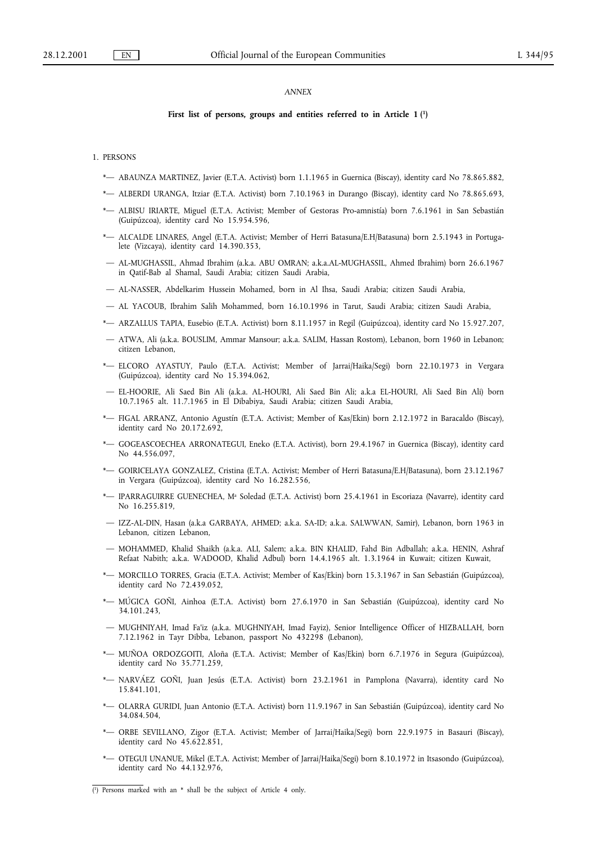### *ANNEX*

#### First list of persons, groups and entities referred to in Article 1<sup>(1)</sup>

#### 1. PERSONS

- \*— ABAUNZA MARTINEZ, Javier (E.T.A. Activist) born 1.1.1965 in Guernica (Biscay), identity card No 78.865.882,
- \*— ALBERDI URANGA, Itziar (E.T.A. Activist) born 7.10.1963 in Durango (Biscay), identity card No 78.865.693,
- \*— ALBISU IRIARTE, Miguel (E.T.A. Activist; Member of Gestoras Pro-amnistía) born 7.6.1961 in San Sebastián (Guipúzcoa), identity card No 15.954.596,
- \*— ALCALDE LINARES, Angel (E.T.A. Activist; Member of Herri Batasuna/E.H/Batasuna) born 2.5.1943 in Portugalete (Vizcaya), identity card 14.390.353,
- AL-MUGHASSIL, Ahmad Ibrahim (a.k.a. ABU OMRAN; a.k.a.AL-MUGHASSIL, Ahmed Ibrahim) born 26.6.1967 in Qatif-Bab al Shamal, Saudi Arabia; citizen Saudi Arabia,
- AL-NASSER, Abdelkarim Hussein Mohamed, born in Al Ihsa, Saudi Arabia; citizen Saudi Arabia,
- AL YACOUB, Ibrahim Salih Mohammed, born 16.10.1996 in Tarut, Saudi Arabia; citizen Saudi Arabia,
- \*— ARZALLUS TAPIA, Eusebio (E.T.A. Activist) born 8.11.1957 in Regil (Guipúzcoa), identity card No 15.927.207,
- ATWA, Ali (a.k.a. BOUSLIM, Ammar Mansour; a.k.a. SALIM, Hassan Rostom), Lebanon, born 1960 in Lebanon; citizen Lebanon,
- \*— ELCORO AYASTUY, Paulo (E.T.A. Activist; Member of Jarrai/Haika/Segi) born 22.10.1973 in Vergara (Guipúzcoa), identity card No 15.394.062,
- EL-HOORIE, Ali Saed Bin Ali (a.k.a. AL-HOURI, Ali Saed Bin Ali; a.k.a EL-HOURI, Ali Saed Bin Ali) born 10.7.1965 alt. 11.7.1965 in El Dibabiya, Saudi Arabia; citizen Saudi Arabia,
- \*— FIGAL ARRANZ, Antonio Agustín (E.T.A. Activist; Member of Kas/Ekin) born 2.12.1972 in Baracaldo (Biscay), identity card No 20.172.692,
- \*— GOGEASCOECHEA ARRONATEGUI, Eneko (E.T.A. Activist), born 29.4.1967 in Guernica (Biscay), identity card No 44.556.097,
- \*— GOIRICELAYA GONZALEZ, Cristina (E.T.A. Activist; Member of Herri Batasuna/E.H/Batasuna), born 23.12.1967 in Vergara (Guipúzcoa), identity card No 16.282.556,
- \*- IPARRAGUIRRE GUENECHEA, Mª Soledad (E.T.A. Activist) born 25.4.1961 in Escoriaza (Navarre), identity card No 16.255.819,
- IZZ-AL-DIN, Hasan (a.k.a GARBAYA, AHMED; a.k.a. SA-ID; a.k.a. SALWWAN, Samir), Lebanon, born 1963 in Lebanon, citizen Lebanon,
- MOHAMMED, Khalid Shaikh (a.k.a. ALI, Salem; a.k.a. BIN KHALID, Fahd Bin Adballah; a.k.a. HENIN, Ashraf Refaat Nabith; a.k.a. WADOOD, Khalid Adbul) born 14.4.1965 alt. 1.3.1964 in Kuwait; citizen Kuwait,
- \*— MORCILLO TORRES, Gracia (E.T.A. Activist; Member of Kas/Ekin) born 15.3.1967 in San Sebastián (Guipúzcoa), identity card No 72.439.052,
- \*— MÚGICA GOÑI, Ainhoa (E.T.A. Activist) born 27.6.1970 in San Sebastián (Guipúzcoa), identity card No 34.101.243,
- MUGHNIYAH, Imad Fa'iz (a.k.a. MUGHNIYAH, Imad Fayiz), Senior Intelligence Officer of HIZBALLAH, born 7.12.1962 in Tayr Dibba, Lebanon, passport No 432298 (Lebanon),
- \*— MUÑOA ORDOZGOITI, Aloña (E.T.A. Activist; Member of Kas/Ekin) born 6.7.1976 in Segura (Guipúzcoa), identity card No 35.771.259,
- \*— NARVÁEZ GOÑI, Juan Jesús (E.T.A. Activist) born 23.2.1961 in Pamplona (Navarra), identity card No 15.841.101,
- \*— OLARRA GURIDI, Juan Antonio (E.T.A. Activist) born 11.9.1967 in San Sebastián (Guipúzcoa), identity card No 34.084.504,
- \*— ORBE SEVILLANO, Zigor (E.T.A. Activist; Member of Jarrai/Haika/Segi) born 22.9.1975 in Basauri (Biscay), identity card No 45.622.851,
- \*— OTEGUI UNANUE, Mikel (E.T.A. Activist; Member of Jarrai/Haika/Segi) born 8.10.1972 in Itsasondo (Guipúzcoa), identity card No 44.132.976,

<sup>(</sup> 1) Persons marked with an \* shall be the subject of Article 4 only.